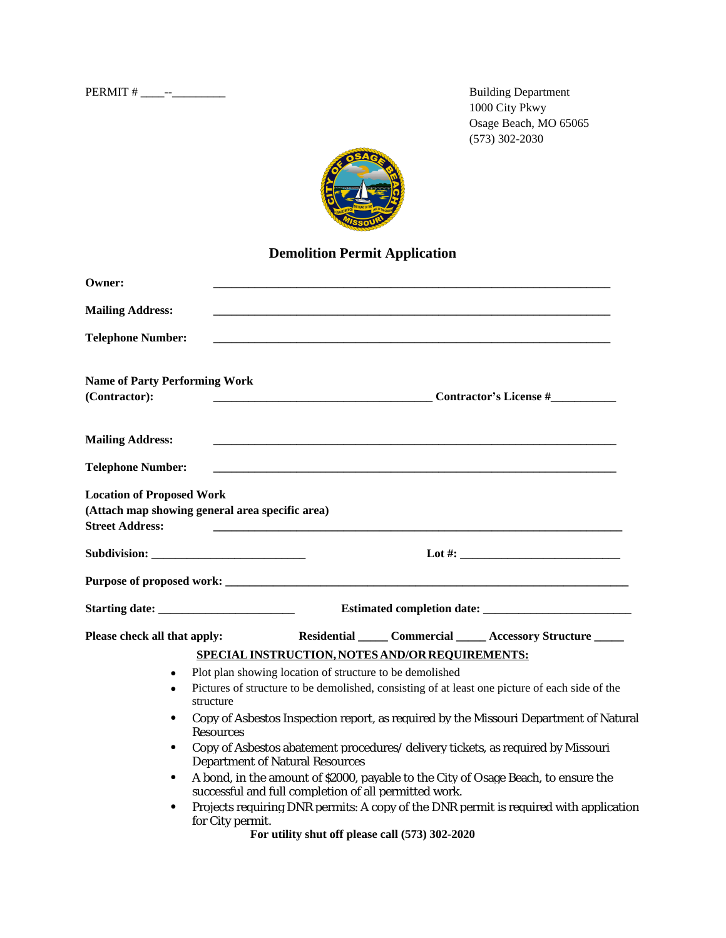PERMIT # \_\_\_\_--\_\_\_\_\_\_\_\_\_ Building Department

1000 City Pkwy Osage Beach, MO 65065 (573) 302-2030



## **Demolition Permit Application**

| Owner:                                                                                                        |                                                                                                                                             |                                                                                                                            |  |                                                                                       |  |
|---------------------------------------------------------------------------------------------------------------|---------------------------------------------------------------------------------------------------------------------------------------------|----------------------------------------------------------------------------------------------------------------------------|--|---------------------------------------------------------------------------------------|--|
| <b>Mailing Address:</b>                                                                                       |                                                                                                                                             |                                                                                                                            |  |                                                                                       |  |
| <b>Telephone Number:</b>                                                                                      |                                                                                                                                             |                                                                                                                            |  |                                                                                       |  |
| <b>Name of Party Performing Work</b><br>(Contractor):                                                         |                                                                                                                                             |                                                                                                                            |  | <b>Contractor's License #</b>                                                         |  |
| <b>Mailing Address:</b>                                                                                       |                                                                                                                                             | <u> 1980 - Jan James James Barnett, fransk politik (d. 1980)</u>                                                           |  |                                                                                       |  |
| <b>Telephone Number:</b>                                                                                      |                                                                                                                                             |                                                                                                                            |  |                                                                                       |  |
| <b>Location of Proposed Work</b><br>(Attach map showing general area specific area)<br><b>Street Address:</b> |                                                                                                                                             |                                                                                                                            |  |                                                                                       |  |
|                                                                                                               |                                                                                                                                             |                                                                                                                            |  |                                                                                       |  |
|                                                                                                               |                                                                                                                                             |                                                                                                                            |  |                                                                                       |  |
| Starting date:                                                                                                |                                                                                                                                             |                                                                                                                            |  |                                                                                       |  |
| Please check all that apply:                                                                                  |                                                                                                                                             |                                                                                                                            |  | Residential Commercial _____ Accessory Structure _____                                |  |
|                                                                                                               |                                                                                                                                             | SPECIAL INSTRUCTION, NOTES AND/OR REQUIREMENTS:                                                                            |  |                                                                                       |  |
| $\bullet$                                                                                                     | Plot plan showing location of structure to be demolished                                                                                    |                                                                                                                            |  |                                                                                       |  |
|                                                                                                               | Pictures of structure to be demolished, consisting of at least one picture of each side of the<br>structure                                 |                                                                                                                            |  |                                                                                       |  |
| $\bullet$                                                                                                     | Copy of Asbestos Inspection report, as required by the Missouri Department of Natural<br>Resources                                          |                                                                                                                            |  |                                                                                       |  |
| $\bullet$                                                                                                     |                                                                                                                                             | Copy of Asbestos abatement procedures/ delivery tickets, as required by Missouri<br><b>Department of Natural Resources</b> |  |                                                                                       |  |
| $\bullet$                                                                                                     | A bond, in the amount of \$2000, payable to the City of Osage Beach, to ensure the<br>successful and full completion of all permitted work. |                                                                                                                            |  |                                                                                       |  |
|                                                                                                               | for City permit.                                                                                                                            |                                                                                                                            |  | Projects requiring DNR permits: A copy of the DNR permit is required with application |  |

**For utility shut off please call (573) 302-2020**